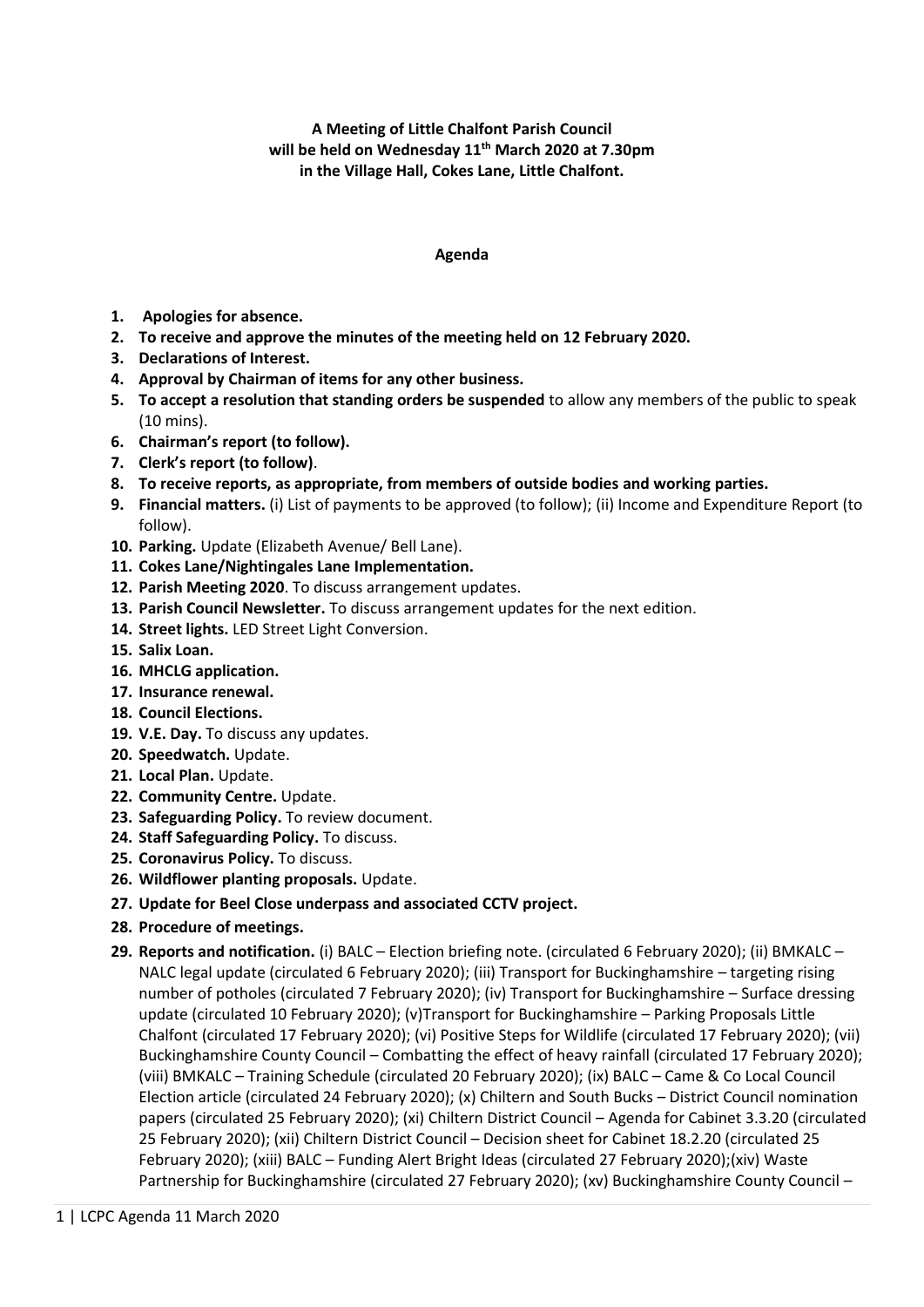**A Meeting of Little Chalfont Parish Council will be held on Wednesday 11 th March 2020 at 7.30pm in the Village Hall, Cokes Lane, Little Chalfont.**

## **Agenda**

- **1. Apologies for absence.**
- **2. To receive and approve the minutes of the meeting held on 12 February 2020.**
- **3. Declarations of Interest.**
- **4. Approval by Chairman of items for any other business.**
- **5. To accept a resolution that standing orders be suspended** to allow any members of the public to speak (10 mins).
- **6. Chairman's report (to follow).**
- **7. Clerk's report (to follow)**.
- **8. To receive reports, as appropriate, from members of outside bodies and working parties.**
- **9. Financial matters.** (i) List of payments to be approved (to follow); (ii) Income and Expenditure Report (to follow).
- **10. Parking.** Update (Elizabeth Avenue/ Bell Lane).
- **11. Cokes Lane/Nightingales Lane Implementation.**
- **12. Parish Meeting 2020**. To discuss arrangement updates.
- **13. Parish Council Newsletter.** To discuss arrangement updates for the next edition.
- **14. Street lights.** LED Street Light Conversion.
- **15. Salix Loan.**
- **16. MHCLG application.**
- **17. Insurance renewal.**
- **18. Council Elections.**
- **19. V.E. Day.** To discuss any updates.
- **20. Speedwatch.** Update.
- **21. Local Plan.** Update.
- **22. Community Centre.** Update.
- **23. Safeguarding Policy.** To review document.
- **24. Staff Safeguarding Policy.** To discuss.
- **25. Coronavirus Policy.** To discuss.
- **26. Wildflower planting proposals.** Update.
- **27. Update for Beel Close underpass and associated CCTV project.**
- **28. Procedure of meetings.**
- **29. Reports and notification.** (i) BALC Election briefing note. (circulated 6 February 2020); (ii) BMKALC NALC legal update (circulated 6 February 2020); (iii) Transport for Buckinghamshire – targeting rising number of potholes (circulated 7 February 2020); (iv) Transport for Buckinghamshire – Surface dressing update (circulated 10 February 2020); (v)Transport for Buckinghamshire – Parking Proposals Little Chalfont (circulated 17 February 2020); (vi) Positive Steps for Wildlife (circulated 17 February 2020); (vii) Buckinghamshire County Council – Combatting the effect of heavy rainfall (circulated 17 February 2020); (viii) BMKALC – Training Schedule (circulated 20 February 2020); (ix) BALC – Came & Co Local Council Election article (circulated 24 February 2020); (x) Chiltern and South Bucks – District Council nomination papers (circulated 25 February 2020); (xi) Chiltern District Council – Agenda for Cabinet 3.3.20 (circulated 25 February 2020); (xii) Chiltern District Council – Decision sheet for Cabinet 18.2.20 (circulated 25 February 2020); (xiii) BALC – Funding Alert Bright Ideas (circulated 27 February 2020);(xiv) Waste Partnership for Buckinghamshire (circulated 27 February 2020); (xv) Buckinghamshire County Council –